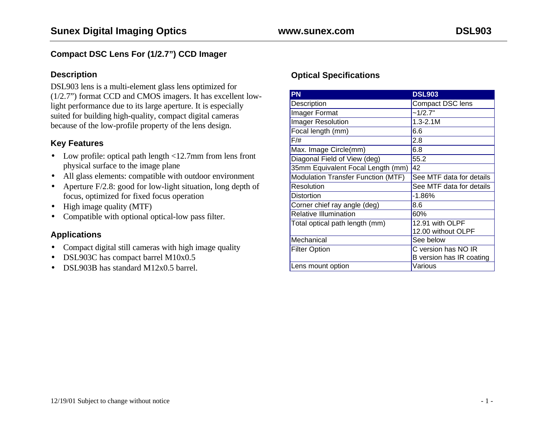### **Compact DSC Lens For (1/2.7") CCD Imager**

#### **Description**

DSL903 lens is a multi-element glass lens optimized for (1/2.7") format CCD and CMOS imagers. It has excellent lowlight performance due to its large aperture. It is especially suited for building high-quality, compact digital cameras because of the low-profile property of the lens design.

### **Key Features**

- Low profile: optical path length <12.7mm from lens front physical surface to the image plane
- All glass elements: compatible with outdoor environment
- Aperture F/2.8: good for low-light situation, long depth of focus, optimized for fixed focus operation
- High image quality (MTF)
- Compatible with optional optical-low pass filter.

### **Applications**

- Compact digital still cameras with high image quality
- DSL903C has compact barrel M10x0.5
- DSL903B has standard M12x0.5 barrel.

## **Optical Specifications**

| <b>PN</b>                                 | <b>DSL903</b>            |
|-------------------------------------------|--------------------------|
| Description                               | <b>Compact DSC lens</b>  |
| Imager Format                             | ~1/2.7"                  |
| <b>Imager Resolution</b>                  | $1.3 - 2.1M$             |
| Focal length (mm)                         | 6.6                      |
| $F/\#$                                    | 2.8                      |
| Max. Image Circle(mm)                     | 6.8                      |
| Diagonal Field of View (deg)              | 55.2                     |
| 35mm Equivalent Focal Length (mm)         | 42                       |
| <b>Modulation Transfer Function (MTF)</b> | See MTF data for details |
| Resolution                                | See MTF data for details |
| <b>Distortion</b>                         | $-1.86%$                 |
| Corner chief ray angle (deg)              | 8.6                      |
| <b>Relative Illumination</b>              | 60%                      |
| Total optical path length (mm)            | 12.91 with OLPF          |
|                                           | 12.00 without OLPF       |
| Mechanical                                | See below                |
| <b>Filter Option</b>                      | C version has NO IR      |
|                                           | B version has IR coating |
| Lens mount option                         | Various                  |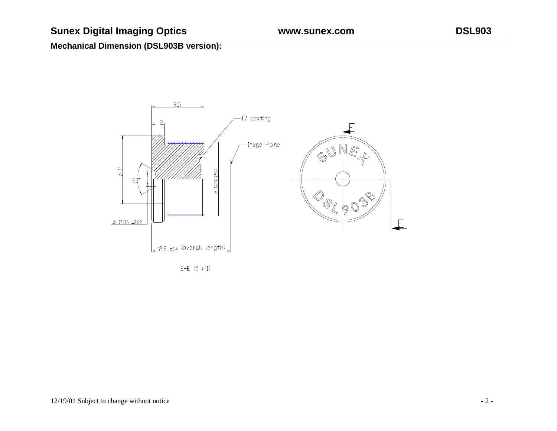# **Sunex Digital Imaging Optics www.sunex.com DSL903**

# **Mechanical Dimension (DSL903B version):**



E-E  $(5 : 1)$